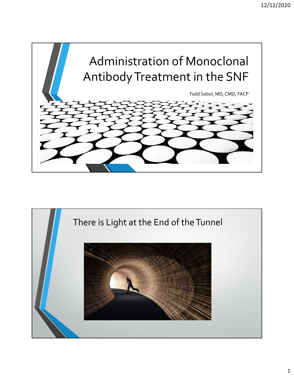

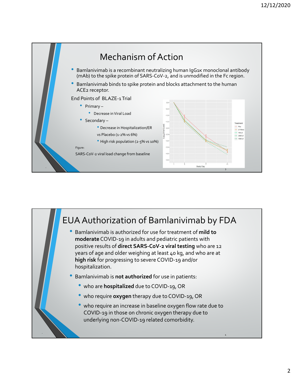

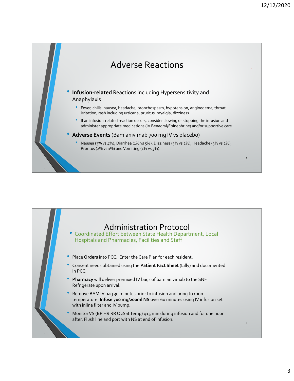

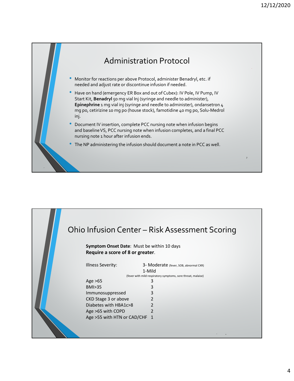

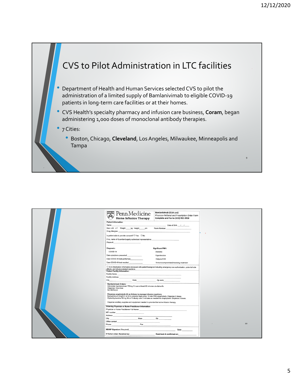

|  |                                                                                                                                                                                                                                                                         | <b>Bamlanivimab (EUA use)</b>                  |              |
|--|-------------------------------------------------------------------------------------------------------------------------------------------------------------------------------------------------------------------------------------------------------------------------|------------------------------------------------|--------------|
|  | <b>Penn</b> Medicine<br>■ 高3點                                                                                                                                                                                                                                           | Physician Referral and Prescription Order Form |              |
|  | <b>Home Infusion Therapy</b>                                                                                                                                                                                                                                            | Complete and Fax to (610) 992-3950             |              |
|  |                                                                                                                                                                                                                                                                         |                                                |              |
|  | <b>Patient Information:</b>                                                                                                                                                                                                                                             |                                                |              |
|  | Name                                                                                                                                                                                                                                                                    | Date of Birth //                               |              |
|  | Sex: DM DF Weight ____ kg Height ____ cm                                                                                                                                                                                                                                | Room Number:                                   |              |
|  | Drug Allergies:                                                                                                                                                                                                                                                         |                                                | $\bullet$    |
|  | Is patient able to provide consent? $\Box$ Yes $\Box$ No                                                                                                                                                                                                                |                                                | $\mathbf{x}$ |
|  | If no, name of Guardian/Legally authorized representative:                                                                                                                                                                                                              |                                                |              |
|  | Phone #:                                                                                                                                                                                                                                                                |                                                |              |
|  | Diagnosis:                                                                                                                                                                                                                                                              | <b>Significant PMH:</b>                        |              |
|  | COVID-19                                                                                                                                                                                                                                                                | <b>Diabetes</b>                                |              |
|  |                                                                                                                                                                                                                                                                         |                                                |              |
|  | Date symptoms presented                                                                                                                                                                                                                                                 | Hypertension                                   |              |
|  | Date COVID-19 test performed                                                                                                                                                                                                                                            | Dialysis/CKD                                   |              |
|  | Date COVID-19 test resulted                                                                                                                                                                                                                                             | Immunocompromised/receiving treatment          |              |
|  | □ EUA Medication information reviewed with patient/caregiver including emergency use authorization, potential side<br>effects, and infusion related reactions                                                                                                           |                                                |              |
|  | <b>Patient Facility Information:</b>                                                                                                                                                                                                                                    |                                                |              |
|  | <b>Facility Name</b>                                                                                                                                                                                                                                                    |                                                |              |
|  |                                                                                                                                                                                                                                                                         |                                                |              |
|  | City<br>$\overline{a}$<br>State                                                                                                                                                                                                                                         | Zip code                                       |              |
|  | <b>Bamlanivimab Orders:</b><br>Administer bamlanivimab 700mg IV over at least 60 minutes via dial-a-flo<br>Dispense: One dose<br>NO REFILLS                                                                                                                             |                                                |              |
|  | Dispense anaphylaxis kit as follows to manage infusion reactions:<br>Epinephrine 0.3mg/0.3 ml IM to anterior thigh every 15 min PRN anaphylaxis. Dispense 2 doses,<br>Diphenhydramine 50 mg IM or IV slowly over 5 minutes as needed for anaphylaxis. Dispense 2 doses. |                                                |              |
|  | Dispense ancillary supplies and equipment needed to provide this home infusion therapy.                                                                                                                                                                                 |                                                |              |
|  | Ordering Physician or Nurse Practitioner Information:                                                                                                                                                                                                                   |                                                |              |
|  | Physician or Nurse Practitioner Full Name: Name: Name: Name: Name: Name: Name: Name: Name: Name: Name: Name: Name: Name: Name: Name: Name: Name: Name: Name: Name: Name: Name: Name: Name: Name: Name: Name: Name: Name: Name:                                          |                                                |              |
|  |                                                                                                                                                                                                                                                                         |                                                |              |
|  |                                                                                                                                                                                                                                                                         |                                                |              |
|  | City State Zip                                                                                                                                                                                                                                                          |                                                |              |
|  |                                                                                                                                                                                                                                                                         |                                                |              |
|  | Fax<br>Phone                                                                                                                                                                                                                                                            |                                                | 10           |
|  | MD/NP Signature (Required)                                                                                                                                                                                                                                              | Date:                                          |              |
|  | If Verbal order: Received by:                                                                                                                                                                                                                                           | Read back & confirmed on:                      |              |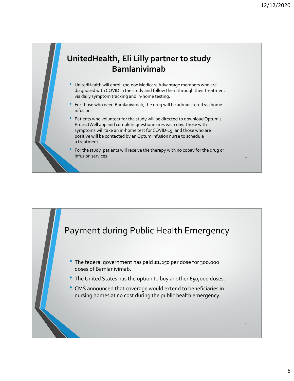11

## **UnitedHealth, Eli Lilly partner to study Bamlanivimab**

- UnitedHealth will enroll 500,000 Medicare Advantage members who are diagnosed with COVID in the study and follow them through their treatment via daily symptom tracking and in‐home testing.
- For those who need Bamlanivimab, the drug will be administered via home infusion.
- Patients who volunteer for the study will be directed to download Optum's ProtectWell app and complete questionnaires each day.Those with symptoms will take an in-home test for COVID-19, and those who are positive will be contacted by an Optum infusion nurse to schedule a treatment.
- For the study, patients will receive the therapy with no copay for the drug or infusion services

‐